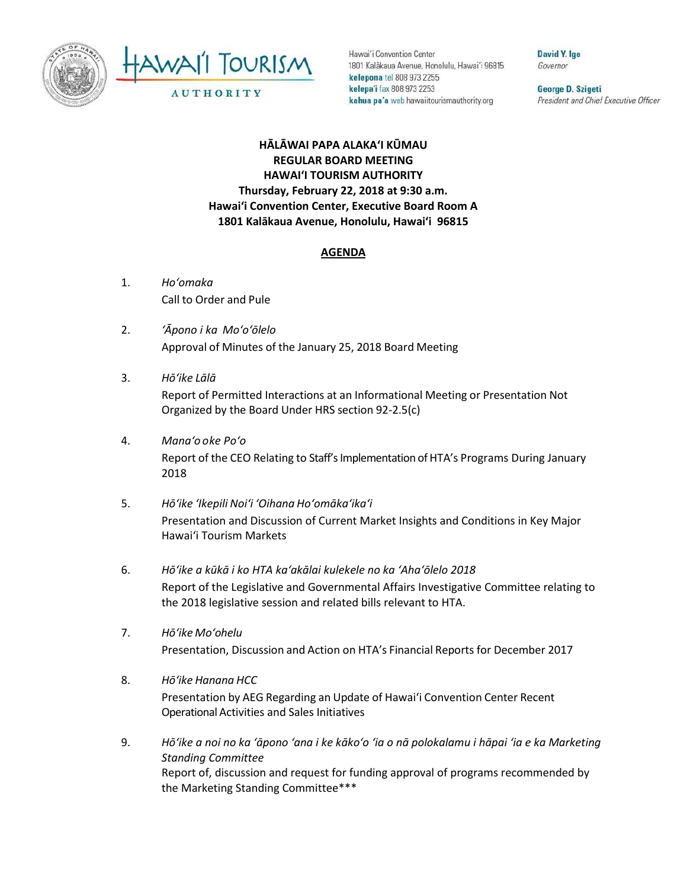



Hawai'i Convention Center 1801 Kalākaua Avenue, Honolulu, Hawai'i 96815 kelepona tel 808 973 2255 kelepa'i fax 808 973 2253 kahua pa'a web hawaiitourismauthority.org

David Y. Ige Governor

George D. Szigeti President and Chief Executive Officer

**HĀLĀWAI PAPA ALAKAʻI KŪMAU REGULAR BOARD MEETING HAWAI'I TOURISM AUTHORITY Thursday, February 22, 2018 at 9:30 a.m. Hawai'i Convention Center, Executive Board Room A 1801 Kalākaua Avenue, Honolulu, Hawai'i 96815**

## **AGENDA**

- 1. *Ho'omaka* Call to Order and Pule
- 2. *ʻĀpono i ka Mo'o'ōlelo* Approval of Minutes of the January 25, 2018 Board Meeting
- 3. *Hō'ike Lālā*

Report of Permitted Interactions at an Informational Meeting or Presentation Not Organized by the Board Under HRS section 92-2.5(c)

- 4. *Mana'o o ke Poʻo* Report of the CEO Relating to Staff's Implementation of HTA's Programs During January 2018
- 5. *Hō'ike 'Ikepili Noi'i 'Oihana Ho'omāka'ika'i* Presentation and Discussion of Current Market Insights and Conditions in Key Major Hawai'i Tourism Markets
- 6. *Hō'ike a kūkā i ko HTA ka'akālai kulekele no ka 'Aha'ōlelo 2018* Report of the Legislative and Governmental Affairs Investigative Committee relating to the 2018 legislative session and related bills relevant to HTA.
- 7. *Hō'ike Mo'ohelu* Presentation, Discussion and Action on HTA's Financial Reports for December 2017
- 8. *Hōʻike Hanana HCC* Presentation by AEG Regarding an Update of Hawai'i Convention Center Recent Operational Activities and Sales Initiatives
- 9. *Hōʻike a noi no ka ʻāpono ʻana i ke kākoʻo ʻia o nā polokalamu i hāpai ʻia e ka Marketing Standing Committee* Report of, discussion and request for funding approval of programs recommended by the Marketing Standing Committee\*\*\*